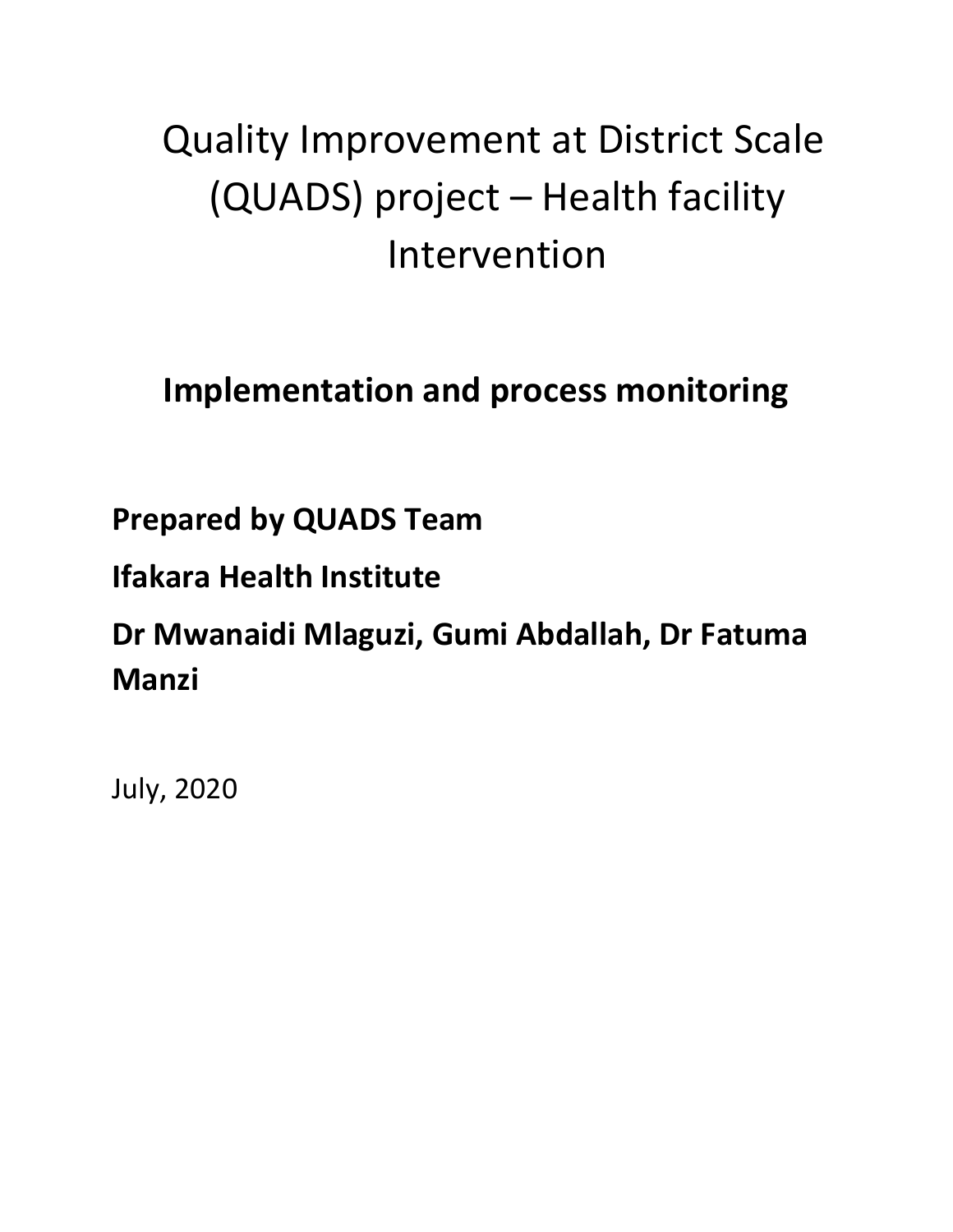# Quality Improvement at District Scale (QUADS) project – Health facility Intervention

## **Implementation and process monitoring**

## **Prepared by QUADS Team**

## **Ifakara Health Institute**

## **Dr Mwanaidi Mlaguzi, Gumi Abdallah, Dr Fatuma Manzi**

July, 2020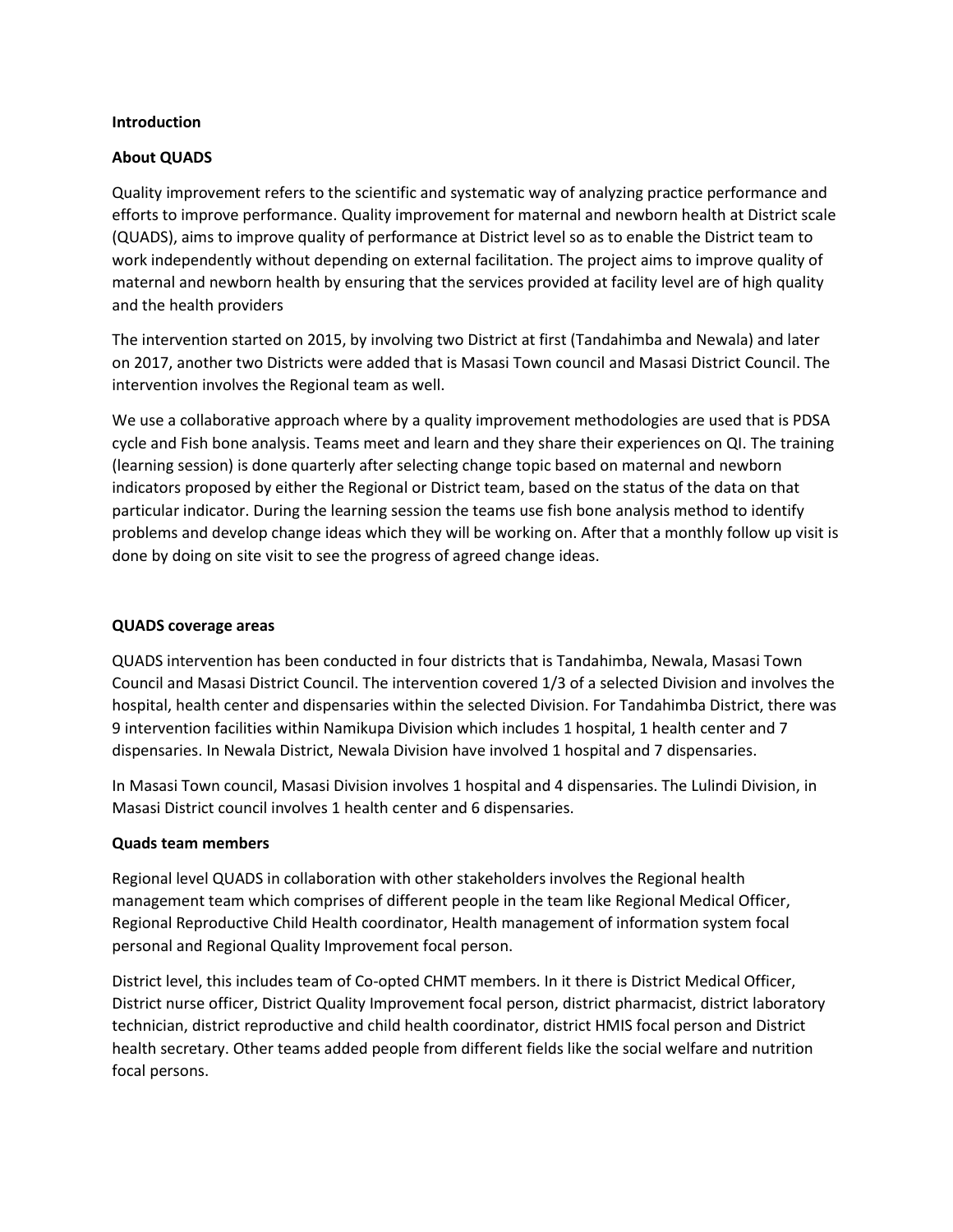#### **Introduction**

## **About QUADS**

Quality improvement refers to the scientific and systematic way of analyzing practice performance and efforts to improve performance. Quality improvement for maternal and newborn health at District scale (QUADS), aims to improve quality of performance at District level so as to enable the District team to work independently without depending on external facilitation. The project aims to improve quality of maternal and newborn health by ensuring that the services provided at facility level are of high quality and the health providers

The intervention started on 2015, by involving two District at first (Tandahimba and Newala) and later on 2017, another two Districts were added that is Masasi Town council and Masasi District Council. The intervention involves the Regional team as well.

We use a collaborative approach where by a quality improvement methodologies are used that is PDSA cycle and Fish bone analysis. Teams meet and learn and they share their experiences on QI. The training (learning session) is done quarterly after selecting change topic based on maternal and newborn indicators proposed by either the Regional or District team, based on the status of the data on that particular indicator. During the learning session the teams use fish bone analysis method to identify problems and develop change ideas which they will be working on. After that a monthly follow up visit is done by doing on site visit to see the progress of agreed change ideas.

## **QUADS coverage areas**

QUADS intervention has been conducted in four districts that is Tandahimba, Newala, Masasi Town Council and Masasi District Council. The intervention covered 1/3 of a selected Division and involves the hospital, health center and dispensaries within the selected Division. For Tandahimba District, there was 9 intervention facilities within Namikupa Division which includes 1 hospital, 1 health center and 7 dispensaries. In Newala District, Newala Division have involved 1 hospital and 7 dispensaries.

In Masasi Town council, Masasi Division involves 1 hospital and 4 dispensaries. The Lulindi Division, in Masasi District council involves 1 health center and 6 dispensaries.

## **Quads team members**

Regional level QUADS in collaboration with other stakeholders involves the Regional health management team which comprises of different people in the team like Regional Medical Officer, Regional Reproductive Child Health coordinator, Health management of information system focal personal and Regional Quality Improvement focal person.

District level, this includes team of Co-opted CHMT members. In it there is District Medical Officer, District nurse officer, District Quality Improvement focal person, district pharmacist, district laboratory technician, district reproductive and child health coordinator, district HMIS focal person and District health secretary. Other teams added people from different fields like the social welfare and nutrition focal persons.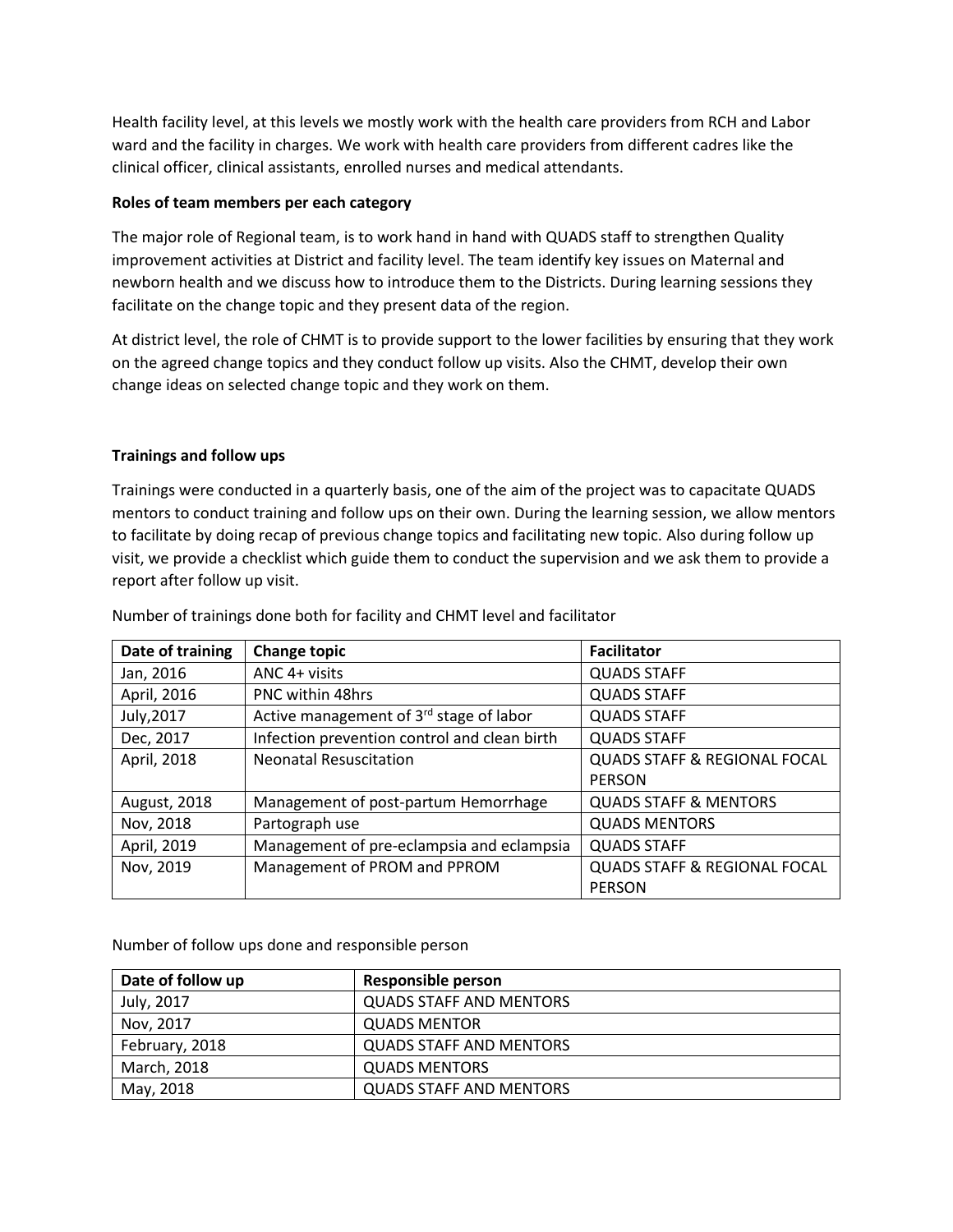Health facility level, at this levels we mostly work with the health care providers from RCH and Labor ward and the facility in charges. We work with health care providers from different cadres like the clinical officer, clinical assistants, enrolled nurses and medical attendants.

## **Roles of team members per each category**

The major role of Regional team, is to work hand in hand with QUADS staff to strengthen Quality improvement activities at District and facility level. The team identify key issues on Maternal and newborn health and we discuss how to introduce them to the Districts. During learning sessions they facilitate on the change topic and they present data of the region.

At district level, the role of CHMT is to provide support to the lower facilities by ensuring that they work on the agreed change topics and they conduct follow up visits. Also the CHMT, develop their own change ideas on selected change topic and they work on them.

## **Trainings and follow ups**

Trainings were conducted in a quarterly basis, one of the aim of the project was to capacitate QUADS mentors to conduct training and follow ups on their own. During the learning session, we allow mentors to facilitate by doing recap of previous change topics and facilitating new topic. Also during follow up visit, we provide a checklist which guide them to conduct the supervision and we ask them to provide a report after follow up visit.

| Date of training    | <b>Change topic</b>                                 | <b>Facilitator</b>                      |
|---------------------|-----------------------------------------------------|-----------------------------------------|
| Jan, 2016           | ANC 4+ visits                                       | <b>QUADS STAFF</b>                      |
| April, 2016         | <b>PNC within 48hrs</b>                             | <b>QUADS STAFF</b>                      |
| July, 2017          | Active management of 3 <sup>rd</sup> stage of labor | <b>QUADS STAFF</b>                      |
| Dec, 2017           | Infection prevention control and clean birth        | <b>QUADS STAFF</b>                      |
| April, 2018         | <b>Neonatal Resuscitation</b>                       | <b>QUADS STAFF &amp; REGIONAL FOCAL</b> |
|                     |                                                     | <b>PERSON</b>                           |
| <b>August, 2018</b> | Management of post-partum Hemorrhage                | <b>QUADS STAFF &amp; MENTORS</b>        |
| Nov, 2018           | Partograph use                                      | <b>QUADS MENTORS</b>                    |
| April, 2019         | Management of pre-eclampsia and eclampsia           | <b>QUADS STAFF</b>                      |
| Nov, 2019           | Management of PROM and PPROM                        | <b>QUADS STAFF &amp; REGIONAL FOCAL</b> |
|                     |                                                     | <b>PERSON</b>                           |

Number of trainings done both for facility and CHMT level and facilitator

Number of follow ups done and responsible person

| Date of follow up | <b>Responsible person</b>      |
|-------------------|--------------------------------|
| July, 2017        | <b>QUADS STAFF AND MENTORS</b> |
| Nov, 2017         | <b>QUADS MENTOR</b>            |
| February, 2018    | <b>QUADS STAFF AND MENTORS</b> |
| March, 2018       | <b>QUADS MENTORS</b>           |
| May, 2018         | <b>QUADS STAFF AND MENTORS</b> |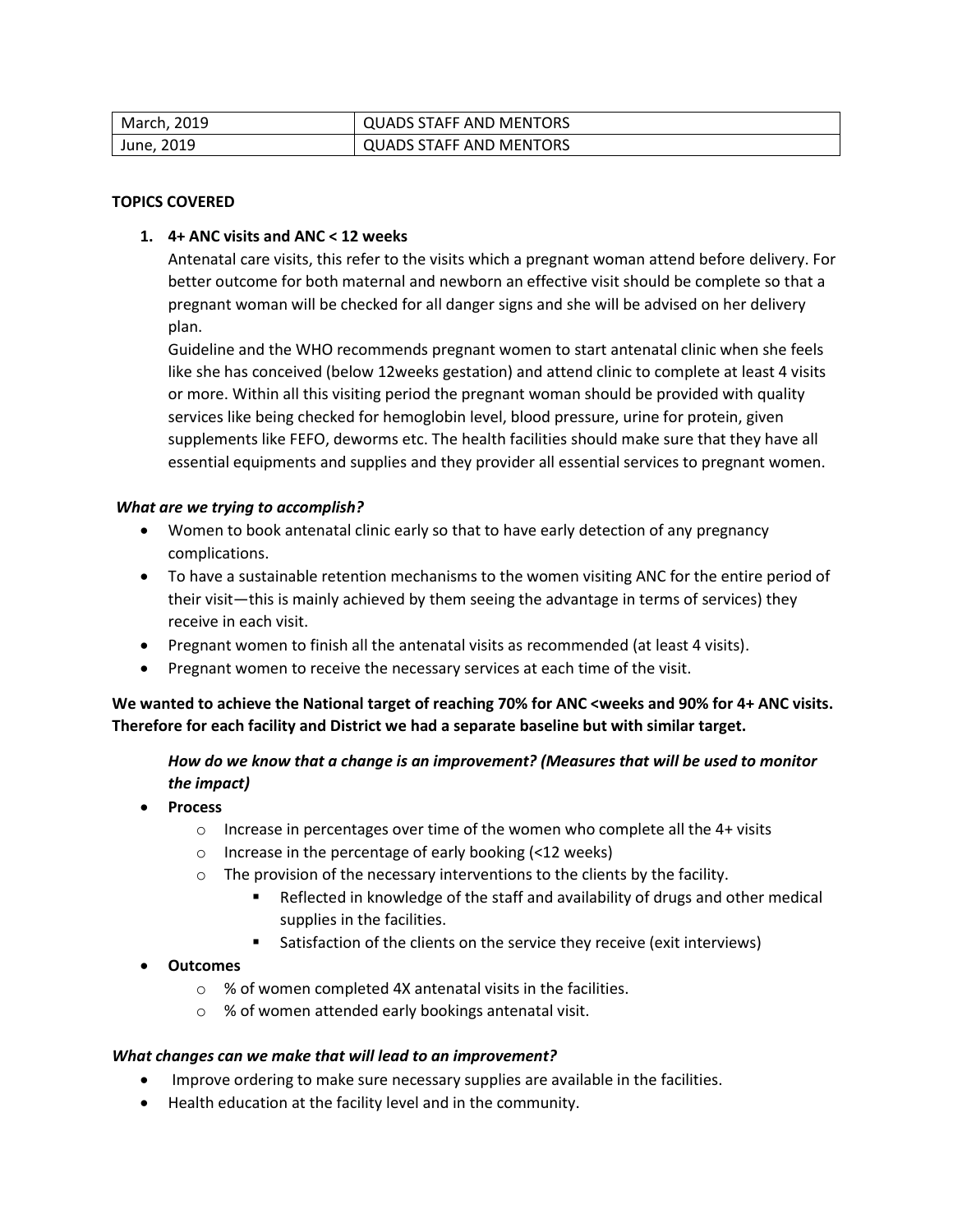| March, 2019 | <b>QUADS STAFF AND MENTORS</b> |
|-------------|--------------------------------|
| June, 2019  | <b>QUADS STAFF AND MENTORS</b> |

#### **TOPICS COVERED**

#### **1. 4+ ANC visits and ANC < 12 weeks**

Antenatal care visits, this refer to the visits which a pregnant woman attend before delivery. For better outcome for both maternal and newborn an effective visit should be complete so that a pregnant woman will be checked for all danger signs and she will be advised on her delivery plan.

Guideline and the WHO recommends pregnant women to start antenatal clinic when she feels like she has conceived (below 12weeks gestation) and attend clinic to complete at least 4 visits or more. Within all this visiting period the pregnant woman should be provided with quality services like being checked for hemoglobin level, blood pressure, urine for protein, given supplements like FEFO, deworms etc. The health facilities should make sure that they have all essential equipments and supplies and they provider all essential services to pregnant women.

#### *What are we trying to accomplish?*

- Women to book antenatal clinic early so that to have early detection of any pregnancy complications.
- To have a sustainable retention mechanisms to the women visiting ANC for the entire period of their visit—this is mainly achieved by them seeing the advantage in terms of services) they receive in each visit.
- Pregnant women to finish all the antenatal visits as recommended (at least 4 visits).
- Pregnant women to receive the necessary services at each time of the visit.

We wanted to achieve the National target of reaching 70% for ANC <weeks and 90% for 4+ ANC visits. **Therefore for each facility and District we had a separate baseline but with similar target.**

## *How do we know that a change is an improvement? (Measures that will be used to monitor the impact)*

- **Process** 
	- o Increase in percentages over time of the women who complete all the 4+ visits
	- o Increase in the percentage of early booking (<12 weeks)
	- o The provision of the necessary interventions to the clients by the facility.
		- Reflected in knowledge of the staff and availability of drugs and other medical supplies in the facilities.
		- Satisfaction of the clients on the service they receive (exit interviews)

## **Outcomes**

- o % of women completed 4X antenatal visits in the facilities.
- o % of women attended early bookings antenatal visit.

## *What changes can we make that will lead to an improvement?*

- Improve ordering to make sure necessary supplies are available in the facilities.
- Health education at the facility level and in the community.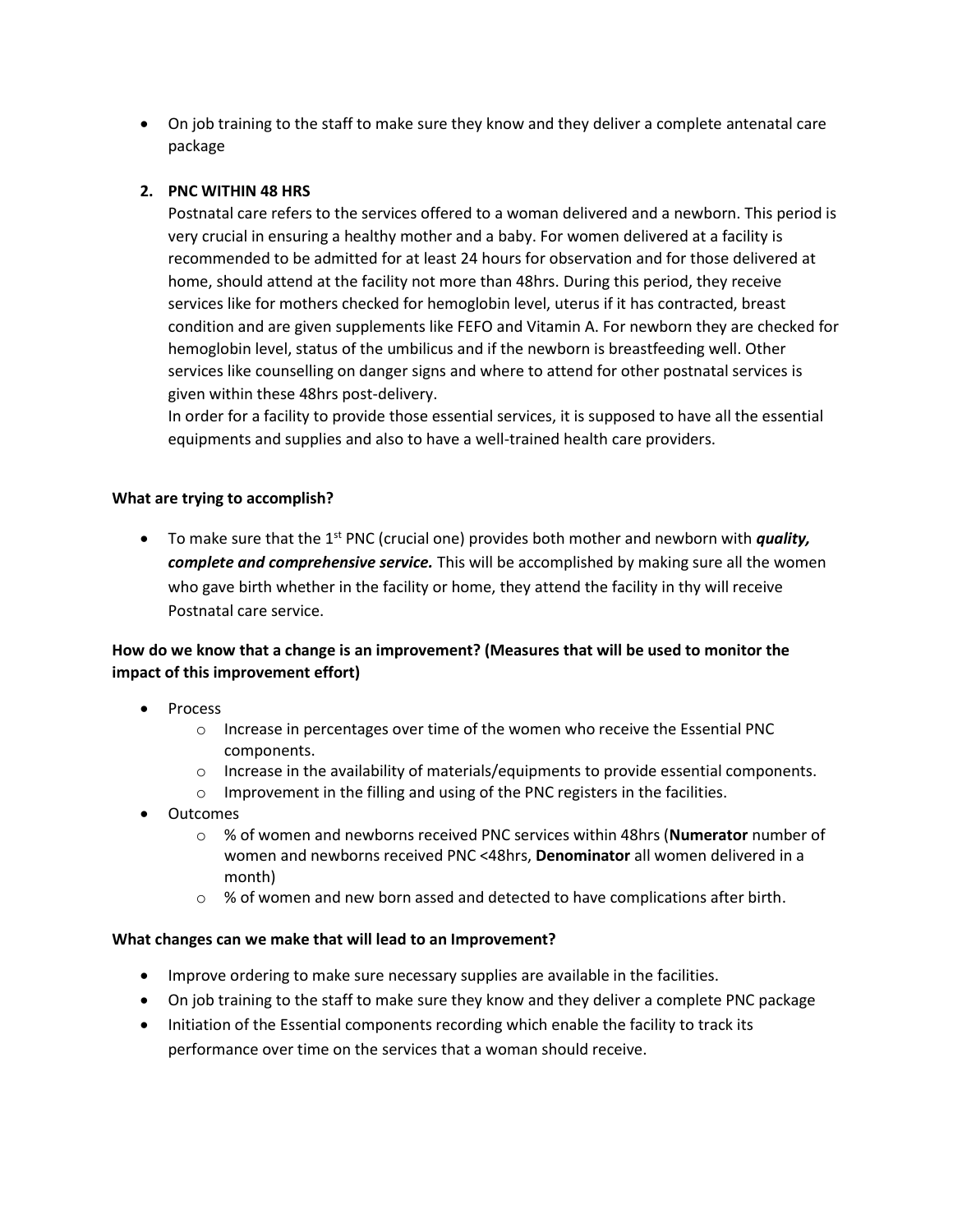On job training to the staff to make sure they know and they deliver a complete antenatal care package

## **2. PNC WITHIN 48 HRS**

Postnatal care refers to the services offered to a woman delivered and a newborn. This period is very crucial in ensuring a healthy mother and a baby. For women delivered at a facility is recommended to be admitted for at least 24 hours for observation and for those delivered at home, should attend at the facility not more than 48hrs. During this period, they receive services like for mothers checked for hemoglobin level, uterus if it has contracted, breast condition and are given supplements like FEFO and Vitamin A. For newborn they are checked for hemoglobin level, status of the umbilicus and if the newborn is breastfeeding well. Other services like counselling on danger signs and where to attend for other postnatal services is given within these 48hrs post-delivery.

In order for a facility to provide those essential services, it is supposed to have all the essential equipments and supplies and also to have a well-trained health care providers.

## **What are trying to accomplish?**

• To make sure that the 1<sup>st</sup> PNC (crucial one) provides both mother and newborn with *quality, complete and comprehensive service.* This will be accomplished by making sure all the women who gave birth whether in the facility or home, they attend the facility in thy will receive Postnatal care service.

## **How do we know that a change is an improvement? (Measures that will be used to monitor the impact of this improvement effort)**

- Process
	- $\circ$  Increase in percentages over time of the women who receive the Essential PNC components.
	- $\circ$  Increase in the availability of materials/equipments to provide essential components.
	- o Improvement in the filling and using of the PNC registers in the facilities.
- Outcomes
	- o % of women and newborns received PNC services within 48hrs (**Numerator** number of women and newborns received PNC <48hrs, **Denominator** all women delivered in a month)
	- $\circ$  % of women and new born assed and detected to have complications after birth.

## **What changes can we make that will lead to an Improvement?**

- Improve ordering to make sure necessary supplies are available in the facilities.
- On job training to the staff to make sure they know and they deliver a complete PNC package
- Initiation of the Essential components recording which enable the facility to track its performance over time on the services that a woman should receive.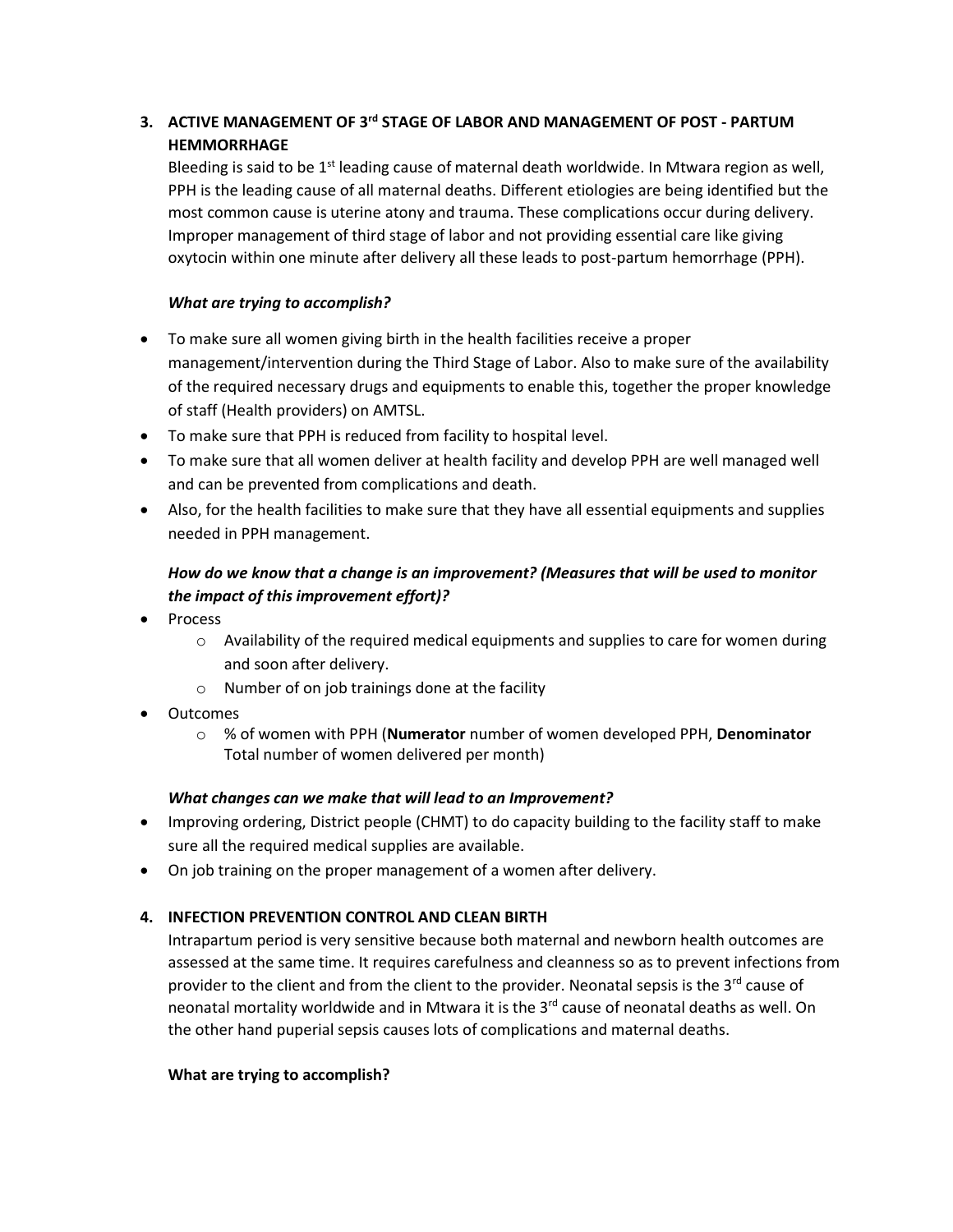## **3. ACTIVE MANAGEMENT OF 3<sup>rd</sup> STAGE OF LABOR AND MANAGEMENT OF POST - PARTUM HEMMORRHAGE**

Bleeding is said to be 1<sup>st</sup> leading cause of maternal death worldwide. In Mtwara region as well, PPH is the leading cause of all maternal deaths. Different etiologies are being identified but the most common cause is uterine atony and trauma. These complications occur during delivery. Improper management of third stage of labor and not providing essential care like giving oxytocin within one minute after delivery all these leads to post-partum hemorrhage (PPH).

## *What are trying to accomplish?*

- To make sure all women giving birth in the health facilities receive a proper management/intervention during the Third Stage of Labor. Also to make sure of the availability of the required necessary drugs and equipments to enable this, together the proper knowledge of staff (Health providers) on AMTSL.
- To make sure that PPH is reduced from facility to hospital level.
- To make sure that all women deliver at health facility and develop PPH are well managed well and can be prevented from complications and death.
- Also, for the health facilities to make sure that they have all essential equipments and supplies needed in PPH management.

## *How do we know that a change is an improvement? (Measures that will be used to monitor the impact of this improvement effort)?*

- Process
	- $\circ$  Availability of the required medical equipments and supplies to care for women during and soon after delivery.
	- $\circ$  Number of on job trainings done at the facility
- Outcomes
	- o % of women with PPH (**Numerator** number of women developed PPH, **Denominator** Total number of women delivered per month)

## *What changes can we make that will lead to an Improvement?*

- Improving ordering, District people (CHMT) to do capacity building to the facility staff to make sure all the required medical supplies are available.
- On job training on the proper management of a women after delivery.

## **4. INFECTION PREVENTION CONTROL AND CLEAN BIRTH**

Intrapartum period is very sensitive because both maternal and newborn health outcomes are assessed at the same time. It requires carefulness and cleanness so as to prevent infections from provider to the client and from the client to the provider. Neonatal sepsis is the  $3<sup>rd</sup>$  cause of neonatal mortality worldwide and in Mtwara it is the  $3<sup>rd</sup>$  cause of neonatal deaths as well. On the other hand puperial sepsis causes lots of complications and maternal deaths.

## **What are trying to accomplish?**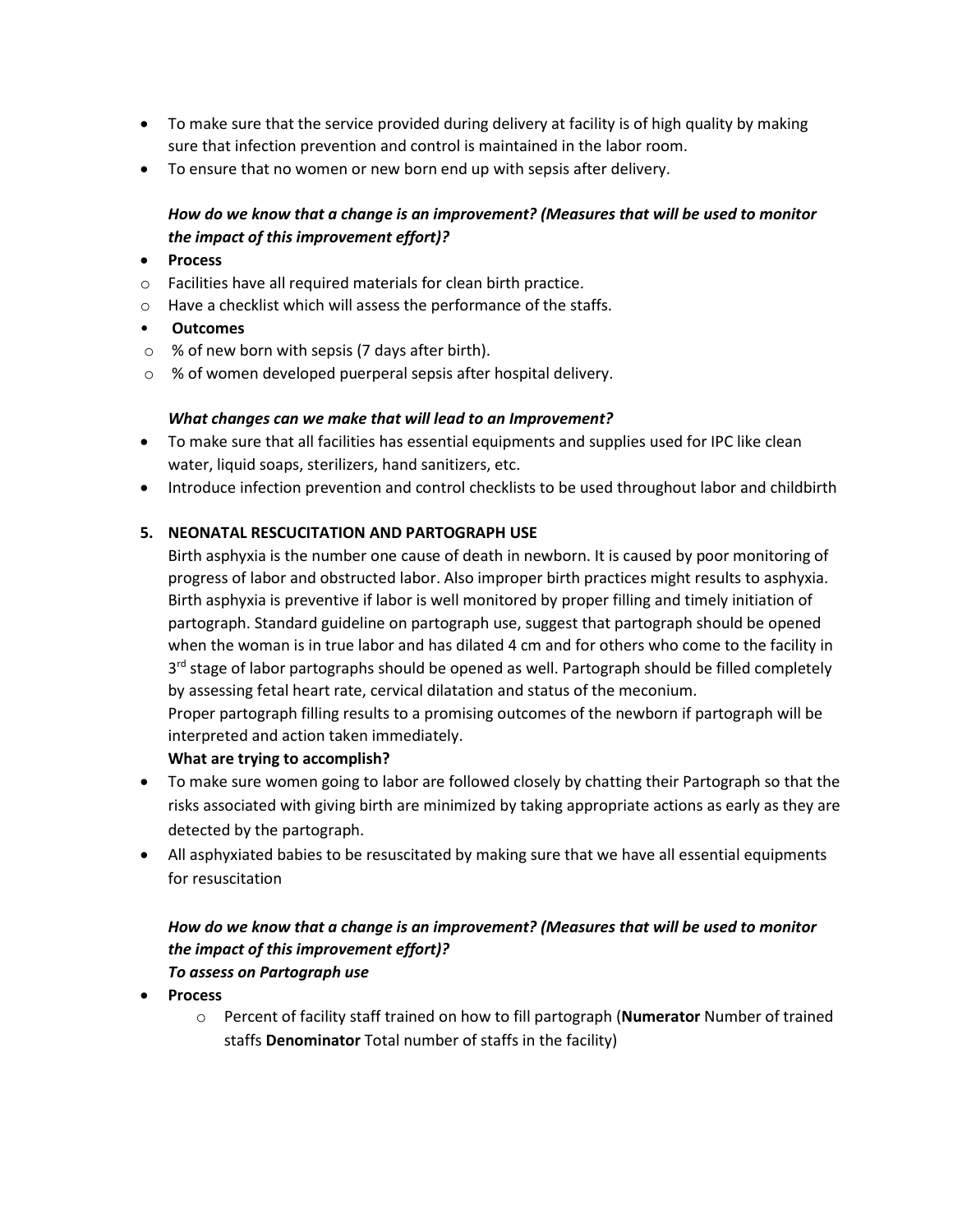- To make sure that the service provided during delivery at facility is of high quality by making sure that infection prevention and control is maintained in the labor room.
- To ensure that no women or new born end up with sepsis after delivery.

## *How do we know that a change is an improvement? (Measures that will be used to monitor the impact of this improvement effort)?*

- **Process**
- o Facilities have all required materials for clean birth practice.
- o Have a checklist which will assess the performance of the staffs.
- **Outcomes**
- o % of new born with sepsis (7 days after birth).
- o % of women developed puerperal sepsis after hospital delivery.

## *What changes can we make that will lead to an Improvement?*

- To make sure that all facilities has essential equipments and supplies used for IPC like clean water, liquid soaps, sterilizers, hand sanitizers, etc.
- Introduce infection prevention and control checklists to be used throughout labor and childbirth

## **5. NEONATAL RESCUCITATION AND PARTOGRAPH USE**

Birth asphyxia is the number one cause of death in newborn. It is caused by poor monitoring of progress of labor and obstructed labor. Also improper birth practices might results to asphyxia. Birth asphyxia is preventive if labor is well monitored by proper filling and timely initiation of partograph. Standard guideline on partograph use, suggest that partograph should be opened when the woman is in true labor and has dilated 4 cm and for others who come to the facility in 3<sup>rd</sup> stage of labor partographs should be opened as well. Partograph should be filled completely by assessing fetal heart rate, cervical dilatation and status of the meconium.

Proper partograph filling results to a promising outcomes of the newborn if partograph will be interpreted and action taken immediately.

## **What are trying to accomplish?**

- To make sure women going to labor are followed closely by chatting their Partograph so that the risks associated with giving birth are minimized by taking appropriate actions as early as they are detected by the partograph.
- All asphyxiated babies to be resuscitated by making sure that we have all essential equipments for resuscitation

## *How do we know that a change is an improvement? (Measures that will be used to monitor the impact of this improvement effort)? To assess on Partograph use*

- **Process** 
	- o Percent of facility staff trained on how to fill partograph (**Numerator** Number of trained staffs **Denominator** Total number of staffs in the facility)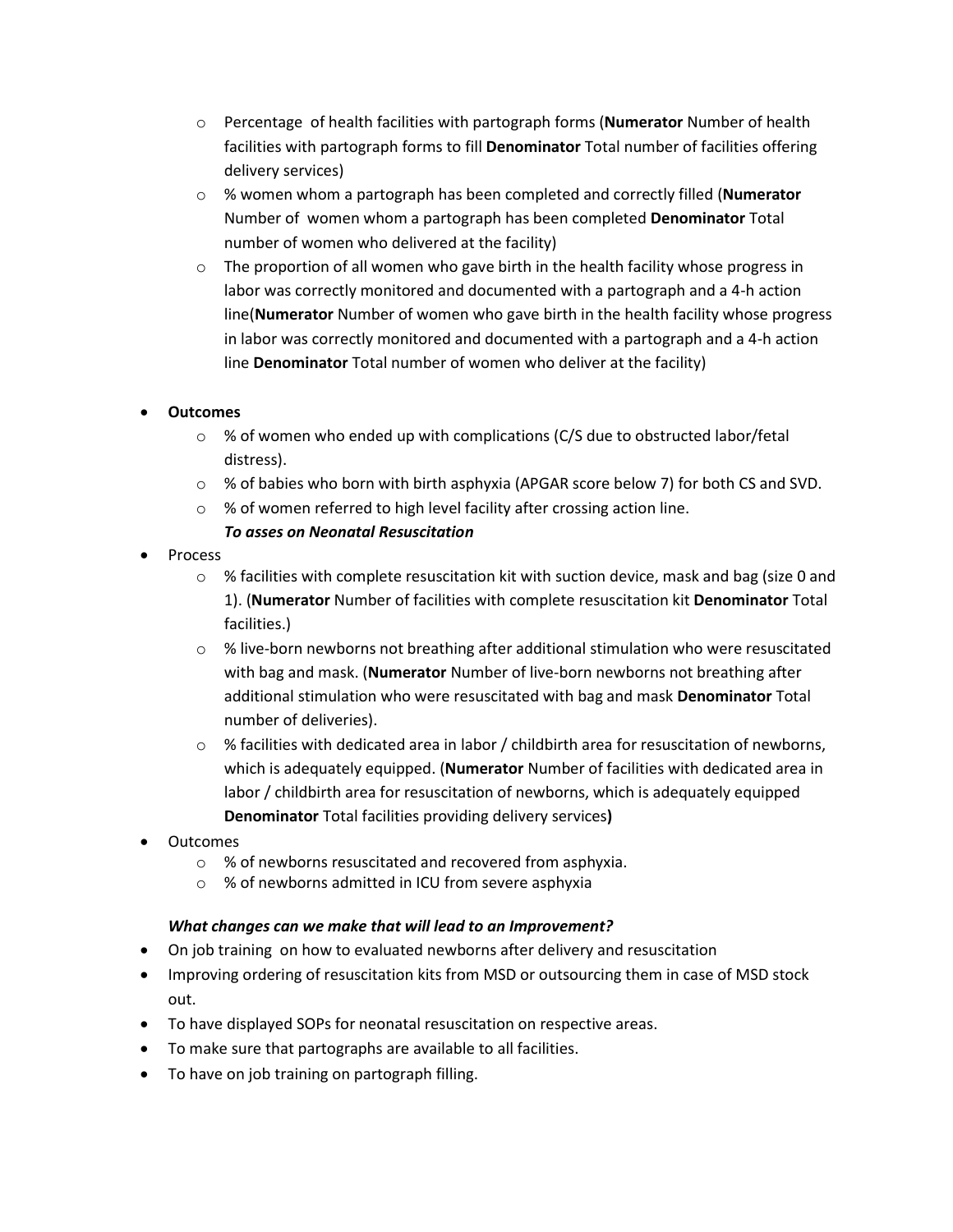- o Percentage of health facilities with partograph forms (**Numerator** Number of health facilities with partograph forms to fill **Denominator** Total number of facilities offering delivery services)
- o % women whom a partograph has been completed and correctly filled (**Numerator**  Number of women whom a partograph has been completed **Denominator** Total number of women who delivered at the facility)
- $\circ$  The proportion of all women who gave birth in the health facility whose progress in labor was correctly monitored and documented with a partograph and a 4-h action line(**Numerator** Number of women who gave birth in the health facility whose progress in labor was correctly monitored and documented with a partograph and a 4-h action line **Denominator** Total number of women who deliver at the facility)

## **Outcomes**

- $\circ$  % of women who ended up with complications (C/S due to obstructed labor/fetal distress).
- $\circ$  % of babies who born with birth asphyxia (APGAR score below 7) for both CS and SVD.
- o % of women referred to high level facility after crossing action line.

## *To asses on Neonatal Resuscitation*

- Process
	- o % facilities with complete resuscitation kit with suction device, mask and bag (size 0 and 1). (**Numerator** Number of facilities with complete resuscitation kit **Denominator** Total facilities.)
	- $\circ$  % live-born newborns not breathing after additional stimulation who were resuscitated with bag and mask. (**Numerator** Number of live-born newborns not breathing after additional stimulation who were resuscitated with bag and mask **Denominator** Total number of deliveries).
	- $\circ$  % facilities with dedicated area in labor / childbirth area for resuscitation of newborns, which is adequately equipped. (**Numerator** Number of facilities with dedicated area in labor / childbirth area for resuscitation of newborns, which is adequately equipped **Denominator** Total facilities providing delivery services**)**
- **Outcomes** 
	- o % of newborns resuscitated and recovered from asphyxia.
	- o % of newborns admitted in ICU from severe asphyxia

## *What changes can we make that will lead to an Improvement?*

- On job training on how to evaluated newborns after delivery and resuscitation
- Improving ordering of resuscitation kits from MSD or outsourcing them in case of MSD stock out.
- To have displayed SOPs for neonatal resuscitation on respective areas.
- To make sure that partographs are available to all facilities.
- To have on job training on partograph filling.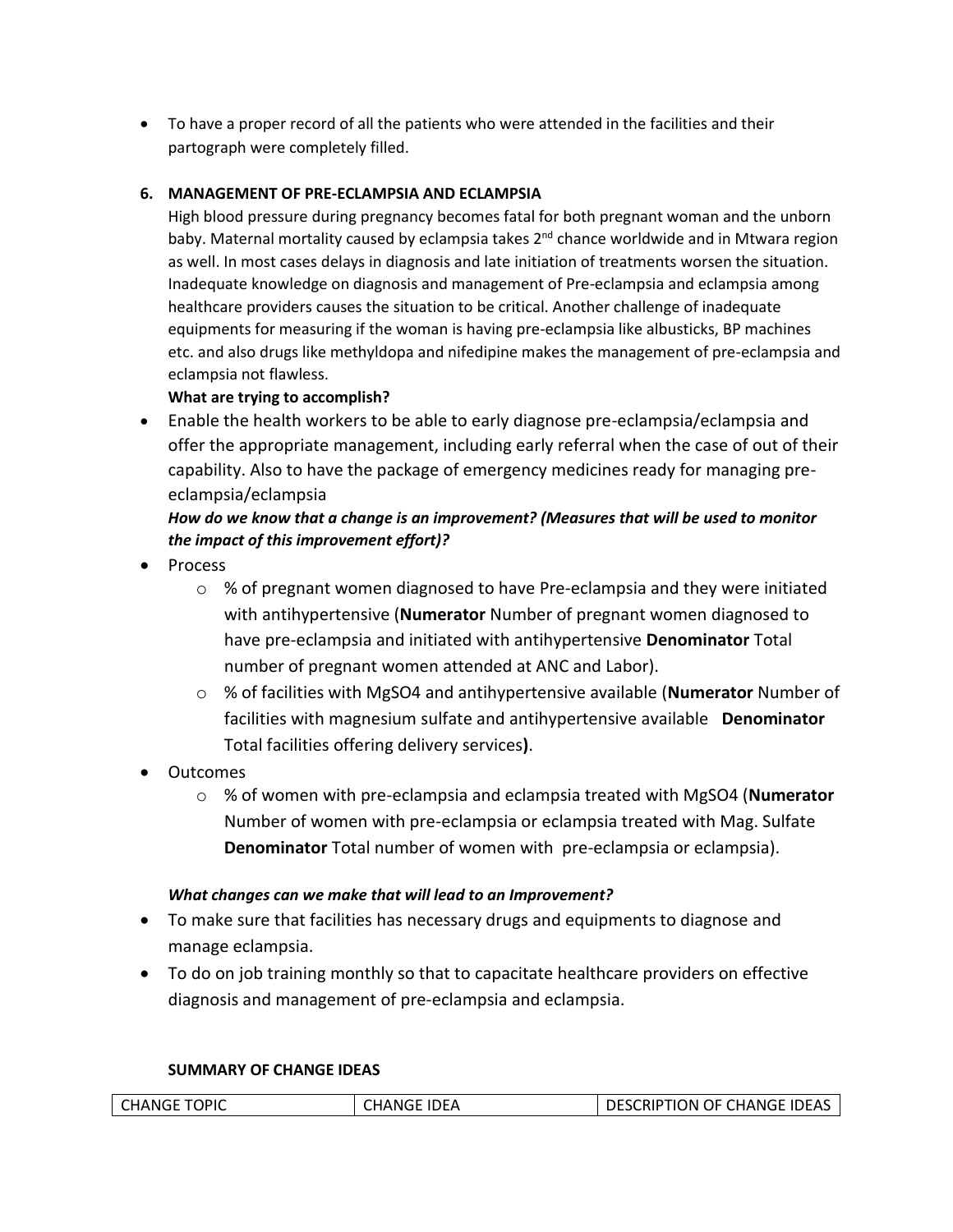To have a proper record of all the patients who were attended in the facilities and their partograph were completely filled.

## **6. MANAGEMENT OF PRE-ECLAMPSIA AND ECLAMPSIA**

High blood pressure during pregnancy becomes fatal for both pregnant woman and the unborn baby. Maternal mortality caused by eclampsia takes 2<sup>nd</sup> chance worldwide and in Mtwara region as well. In most cases delays in diagnosis and late initiation of treatments worsen the situation. Inadequate knowledge on diagnosis and management of Pre-eclampsia and eclampsia among healthcare providers causes the situation to be critical. Another challenge of inadequate equipments for measuring if the woman is having pre-eclampsia like albusticks, BP machines etc. and also drugs like methyldopa and nifedipine makes the management of pre-eclampsia and eclampsia not flawless.

## **What are trying to accomplish?**

 Enable the health workers to be able to early diagnose pre-eclampsia/eclampsia and offer the appropriate management, including early referral when the case of out of their capability. Also to have the package of emergency medicines ready for managing preeclampsia/eclampsia

## *How do we know that a change is an improvement? (Measures that will be used to monitor the impact of this improvement effort)?*

- Process
	- $\circ$  % of pregnant women diagnosed to have Pre-eclampsia and they were initiated with antihypertensive (**Numerator** Number of pregnant women diagnosed to have pre-eclampsia and initiated with antihypertensive **Denominator** Total number of pregnant women attended at ANC and Labor).
	- o % of facilities with MgSO4 and antihypertensive available (**Numerator** Number of facilities with magnesium sulfate and antihypertensive available **Denominator**  Total facilities offering delivery services**)**.
- Outcomes
	- o % of women with pre-eclampsia and eclampsia treated with MgSO4 (**Numerator**  Number of women with pre-eclampsia or eclampsia treated with Mag. Sulfate **Denominator** Total number of women with pre-eclampsia or eclampsia).

## *What changes can we make that will lead to an Improvement?*

- To make sure that facilities has necessary drugs and equipments to diagnose and manage eclampsia.
- To do on job training monthly so that to capacitate healthcare providers on effective diagnosis and management of pre-eclampsia and eclampsia.

## **SUMMARY OF CHANGE IDEAS**

| <b>CHANGE TOPIC</b> | <b>CHANGE IDEA</b> | <b>DESCRIPTION OF CHANGE IDEAS</b> |
|---------------------|--------------------|------------------------------------|
|                     |                    |                                    |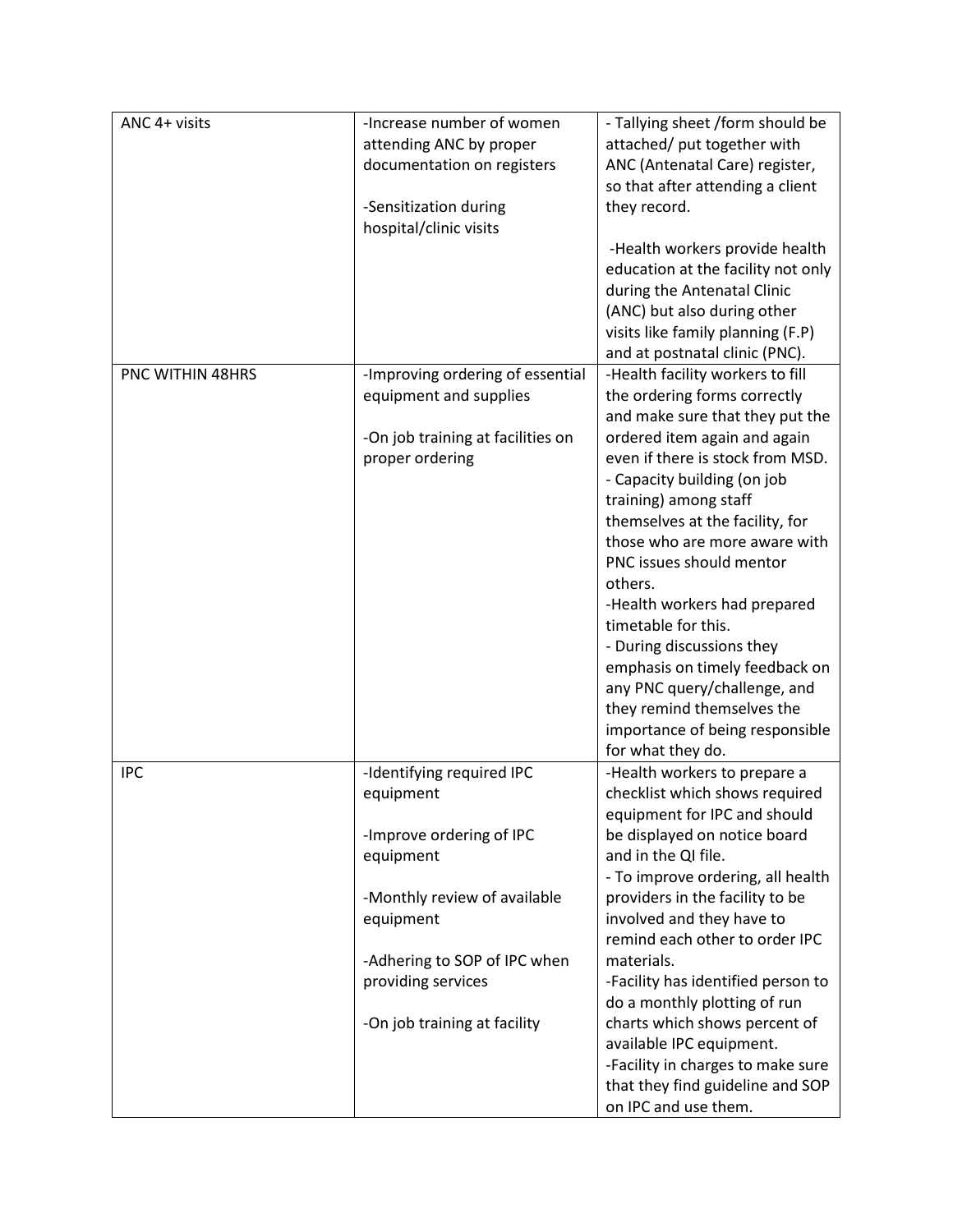| ANC 4+ visits    | -Increase number of women                            | - Tallying sheet /form should be                                 |
|------------------|------------------------------------------------------|------------------------------------------------------------------|
|                  | attending ANC by proper                              | attached/ put together with                                      |
|                  | documentation on registers                           | ANC (Antenatal Care) register,                                   |
|                  |                                                      | so that after attending a client                                 |
|                  | -Sensitization during<br>hospital/clinic visits      | they record.                                                     |
|                  |                                                      | -Health workers provide health                                   |
|                  |                                                      | education at the facility not only                               |
|                  |                                                      | during the Antenatal Clinic                                      |
|                  |                                                      | (ANC) but also during other                                      |
|                  |                                                      | visits like family planning (F.P)                                |
|                  |                                                      | and at postnatal clinic (PNC).                                   |
| PNC WITHIN 48HRS | -Improving ordering of essential                     | -Health facility workers to fill                                 |
|                  | equipment and supplies                               | the ordering forms correctly                                     |
|                  |                                                      | and make sure that they put the                                  |
|                  | -On job training at facilities on<br>proper ordering | ordered item again and again<br>even if there is stock from MSD. |
|                  |                                                      | - Capacity building (on job                                      |
|                  |                                                      | training) among staff                                            |
|                  |                                                      | themselves at the facility, for                                  |
|                  |                                                      | those who are more aware with                                    |
|                  |                                                      | PNC issues should mentor                                         |
|                  |                                                      | others.                                                          |
|                  |                                                      | -Health workers had prepared                                     |
|                  |                                                      | timetable for this.                                              |
|                  |                                                      | - During discussions they                                        |
|                  |                                                      | emphasis on timely feedback on                                   |
|                  |                                                      | any PNC query/challenge, and                                     |
|                  |                                                      | they remind themselves the                                       |
|                  |                                                      | importance of being responsible                                  |
| <b>IPC</b>       |                                                      | for what they do.                                                |
|                  | -Identifying required IPC<br>equipment               | -Health workers to prepare a<br>checklist which shows required   |
|                  |                                                      | equipment for IPC and should                                     |
|                  | -Improve ordering of IPC                             | be displayed on notice board                                     |
|                  | equipment                                            | and in the QI file.                                              |
|                  |                                                      | - To improve ordering, all health                                |
|                  | -Monthly review of available                         | providers in the facility to be                                  |
|                  | equipment                                            | involved and they have to                                        |
|                  |                                                      | remind each other to order IPC                                   |
|                  | -Adhering to SOP of IPC when                         | materials.                                                       |
|                  | providing services                                   | -Facility has identified person to                               |
|                  |                                                      | do a monthly plotting of run                                     |
|                  | -On job training at facility                         | charts which shows percent of                                    |
|                  |                                                      | available IPC equipment.                                         |
|                  |                                                      | -Facility in charges to make sure                                |
|                  |                                                      | that they find guideline and SOP<br>on IPC and use them.         |
|                  |                                                      |                                                                  |